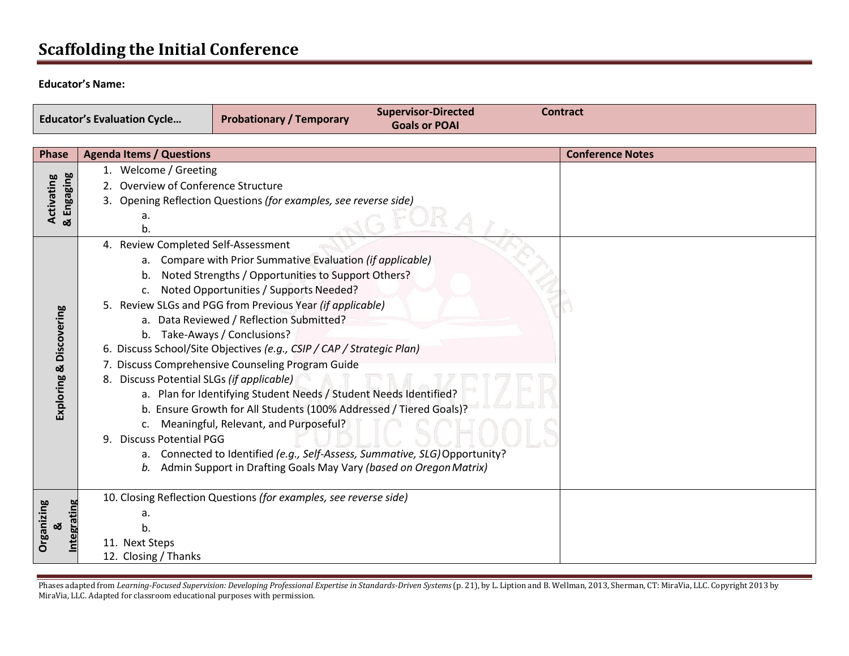# **Scaffolding the Initial Conference**

#### **Educator's Name:**

E

| <b>Educator's Evaluation Cycle</b> | <b>Probationary / Temporary</b> | <b>Supervisor-Directed</b><br><b>Goals or POAI</b> | Contract |  |
|------------------------------------|---------------------------------|----------------------------------------------------|----------|--|
|                                    |                                 |                                                    |          |  |

| <b>Phase</b>             | <b>Agenda Items / Questions</b>                                                | <b>Conference Notes</b> |
|--------------------------|--------------------------------------------------------------------------------|-------------------------|
| & Engaging<br>Activating | 1. Welcome / Greeting                                                          |                         |
|                          | Overview of Conference Structure                                               |                         |
|                          | 3. Opening Reflection Questions (for examples, see reverse side)               |                         |
|                          | a.<br>b.                                                                       |                         |
|                          | 4. Review Completed Self-Assessment                                            |                         |
|                          | Compare with Prior Summative Evaluation (if applicable)<br>a.                  |                         |
|                          | Noted Strengths / Opportunities to Support Others?<br>b.                       |                         |
| Discovering<br>ಡ         | Noted Opportunities / Supports Needed?<br>c.                                   |                         |
|                          | 5. Review SLGs and PGG from Previous Year (if applicable)                      |                         |
|                          | a. Data Reviewed / Reflection Submitted?                                       |                         |
|                          | b. Take-Aways / Conclusions?                                                   |                         |
|                          | 6. Discuss School/Site Objectives (e.g., CSIP / CAP / Strategic Plan)          |                         |
|                          | 7. Discuss Comprehensive Counseling Program Guide                              |                         |
|                          | 8. Discuss Potential SLGs (if applicable)                                      |                         |
|                          | a. Plan for Identifying Student Needs / Student Needs Identified?              |                         |
| Exploring                | b. Ensure Growth for All Students (100% Addressed / Tiered Goals)?             |                         |
|                          | c. Meaningful, Relevant, and Purposeful?                                       |                         |
|                          | 9. Discuss Potential PGG                                                       |                         |
|                          | Connected to Identified (e.g., Self-Assess, Summative, SLG) Opportunity?<br>а. |                         |
|                          | Admin Support in Drafting Goals May Vary (based on Oregon Matrix)<br>b.        |                         |
| Organizing<br>య          | 10. Closing Reflection Questions (for examples, see reverse side)              |                         |
|                          | а.                                                                             |                         |
|                          | b.                                                                             |                         |
|                          | 11. Next Steps                                                                 |                         |
|                          | 12. Closing / Thanks                                                           |                         |

Phases adapted from Learning-Focused Supervision: Developing Professional Expertise in Standards-Driven Systems (p. 21), by L. Liption and B. Wellman, 2013, Sherman, CT: MiraVia, LLC. Copyright 2013 by MiraVia, LLC. Adapted for classroom educational purposes with permission.